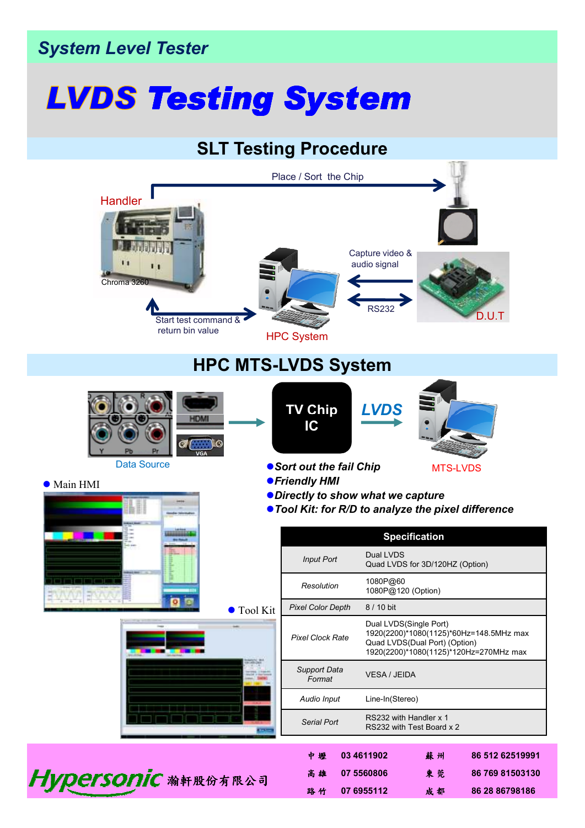## *System Level Tester*

## *Testing System*